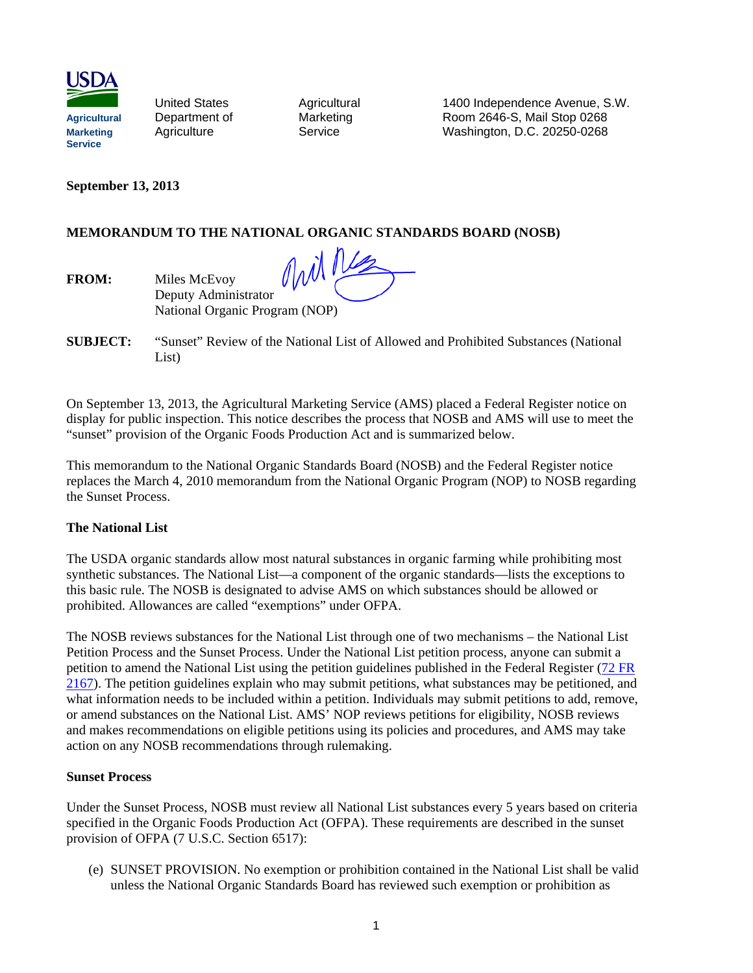

United States **Agricultural 1400 Independence Avenue, S.W.** Agricultural Department of Marketing Room 2646-S, Mail Stop 0268<br>
Marketing Agriculture Service Washington, D.C. 20250-0268 **Marketing** Agriculture Service Washington, D.C. 20250-0268

**September 13, 2013**

FROM: Miles McEvov

## **MEMORANDUM TO THE NATIONAL ORGANIC STANDARDS BOARD (NOSB)**

nil 1 Deputy Administrator National Organic Program (NOP)

**SUBJECT:** "Sunset" Review of the National List of Allowed and Prohibited Substances (National List)

On September 13, 2013, the Agricultural Marketing Service (AMS) placed a Federal Register notice on display for public inspection. This notice describes the process that NOSB and AMS will use to meet the "sunset" provision of the Organic Foods Production Act and is summarized below.

This memorandum to the National Organic Standards Board (NOSB) and the Federal Register notice replaces the March 4, 2010 memorandum from the National Organic Program (NOP) to NOSB regarding the Sunset Process.

## **The National List**

The USDA organic standards allow most natural substances in organic farming while prohibiting most synthetic substances. The National List—a component of the organic standards—lists the exceptions to this basic rule. The NOSB is designated to advise AMS on which substances should be allowed or prohibited. Allowances are called "exemptions" under OFPA.

The NOSB reviews substances for the National List through one of two mechanisms – the National List Petition Process and the Sunset Process. Under the National List petition process, anyone can submit a petition to amend the National List using the petition guidelines published in the Federal Register [\(72 FR](http://www.ams.usda.gov/AMSv1.0/getfile?dDocName=STELPRDC5048809&acct=nopgeninfo)  [2167\)](http://www.ams.usda.gov/AMSv1.0/getfile?dDocName=STELPRDC5048809&acct=nopgeninfo). The petition guidelines explain who may submit petitions, what substances may be petitioned, and what information needs to be included within a petition. Individuals may submit petitions to add, remove, or amend substances on the National List. AMS' NOP reviews petitions for eligibility, NOSB reviews and makes recommendations on eligible petitions using its policies and procedures, and AMS may take action on any NOSB recommendations through rulemaking.

## **Sunset Process**

Under the Sunset Process, NOSB must review all National List substances every 5 years based on criteria specified in the Organic Foods Production Act (OFPA). These requirements are described in the sunset provision of OFPA (7 U.S.C. Section 6517):

(e) SUNSET PROVISION. No exemption or prohibition contained in the National List shall be valid unless the National Organic Standards Board has reviewed such exemption or prohibition as